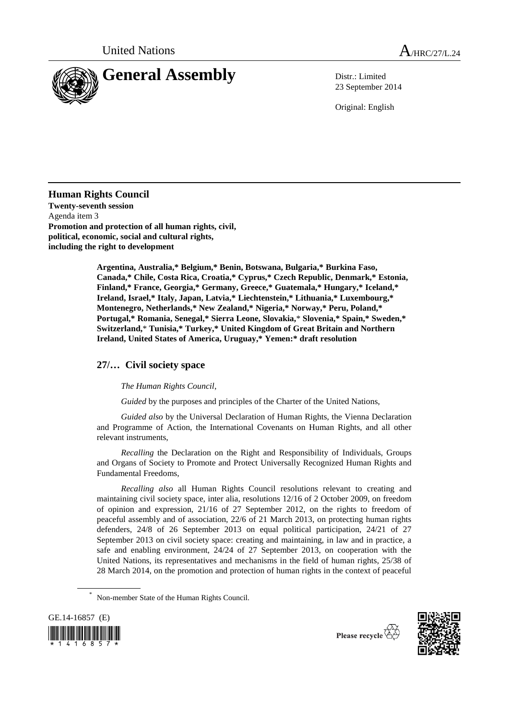

23 September 2014

Original: English

**Human Rights Council Twenty-seventh session** Agenda item 3 **Promotion and protection of all human rights, civil, political, economic, social and cultural rights, including the right to development**

> **Argentina, Australia,\* Belgium,\* Benin, Botswana, Bulgaria,\* Burkina Faso, Canada,\* Chile, Costa Rica, Croatia,\* Cyprus,\* Czech Republic, Denmark,\* Estonia, Finland,\* France, Georgia,\* Germany, Greece,\* Guatemala,\* Hungary,\* Iceland,\* Ireland, Israel,\* Italy, Japan, Latvia,\* Liechtenstein,\* Lithuania,\* Luxembourg,\* Montenegro, Netherlands,\* New Zealand,\* Nigeria,\* Norway,\* Peru, Poland,\* Portugal,\* Romania, Senegal,\* Sierra Leone, Slovakia,**\* **Slovenia,\* Spain,\* Sweden,\* Switzerland,**\* **Tunisia,\* Turkey,\* United Kingdom of Great Britain and Northern Ireland, United States of America, Uruguay,\* Yemen:\* draft resolution**

## **27/… Civil society space**

*The Human Rights Council*,

*Guided* by the purposes and principles of the Charter of the United Nations,

*Guided also* by the Universal Declaration of Human Rights, the Vienna Declaration and Programme of Action, the International Covenants on Human Rights, and all other relevant instruments,

*Recalling* the Declaration on the Right and Responsibility of Individuals, Groups and Organs of Society to Promote and Protect Universally Recognized Human Rights and Fundamental Freedoms,

*Recalling also* all Human Rights Council resolutions relevant to creating and maintaining civil society space, inter alia, resolutions 12/16 of 2 October 2009, on freedom of opinion and expression, 21/16 of 27 September 2012, on the rights to freedom of peaceful assembly and of association, 22/6 of 21 March 2013, on protecting human rights defenders, 24/8 of 26 September 2013 on equal political participation, 24/21 of 27 September 2013 on civil society space: creating and maintaining, in law and in practice, a safe and enabling environment, 24/24 of 27 September 2013, on cooperation with the United Nations, its representatives and mechanisms in the field of human rights, 25/38 of 28 March 2014, on the promotion and protection of human rights in the context of peaceful

Non-member State of the Human Rights Council.





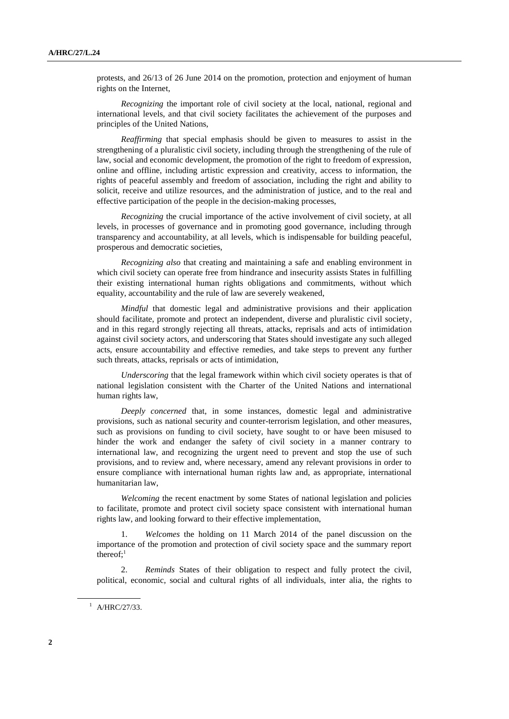protests, and 26/13 of 26 June 2014 on the promotion, protection and enjoyment of human rights on the Internet,

*Recognizing* the important role of civil society at the local, national, regional and international levels, and that civil society facilitates the achievement of the purposes and principles of the United Nations,

*Reaffirming* that special emphasis should be given to measures to assist in the strengthening of a pluralistic civil society, including through the strengthening of the rule of law, social and economic development, the promotion of the right to freedom of expression, online and offline, including artistic expression and creativity, access to information, the rights of peaceful assembly and freedom of association, including the right and ability to solicit, receive and utilize resources, and the administration of justice, and to the real and effective participation of the people in the decision-making processes,

*Recognizing* the crucial importance of the active involvement of civil society, at all levels, in processes of governance and in promoting good governance, including through transparency and accountability, at all levels, which is indispensable for building peaceful, prosperous and democratic societies,

*Recognizing also* that creating and maintaining a safe and enabling environment in which civil society can operate free from hindrance and insecurity assists States in fulfilling their existing international human rights obligations and commitments, without which equality, accountability and the rule of law are severely weakened,

*Mindful* that domestic legal and administrative provisions and their application should facilitate, promote and protect an independent, diverse and pluralistic civil society, and in this regard strongly rejecting all threats, attacks, reprisals and acts of intimidation against civil society actors, and underscoring that States should investigate any such alleged acts, ensure accountability and effective remedies, and take steps to prevent any further such threats, attacks, reprisals or acts of intimidation,

*Underscoring* that the legal framework within which civil society operates is that of national legislation consistent with the Charter of the United Nations and international human rights law,

*Deeply concerned* that, in some instances, domestic legal and administrative provisions, such as national security and counter-terrorism legislation, and other measures, such as provisions on funding to civil society, have sought to or have been misused to hinder the work and endanger the safety of civil society in a manner contrary to international law, and recognizing the urgent need to prevent and stop the use of such provisions, and to review and, where necessary, amend any relevant provisions in order to ensure compliance with international human rights law and, as appropriate, international humanitarian law,

*Welcoming* the recent enactment by some States of national legislation and policies to facilitate, promote and protect civil society space consistent with international human rights law, and looking forward to their effective implementation,

1. *Welcomes* the holding on 11 March 2014 of the panel discussion on the importance of the promotion and protection of civil society space and the summary report thereof; 1

*Reminds* States of their obligation to respect and fully protect the civil, political, economic, social and cultural rights of all individuals, inter alia, the rights to

 $1$  A/HRC/27/33.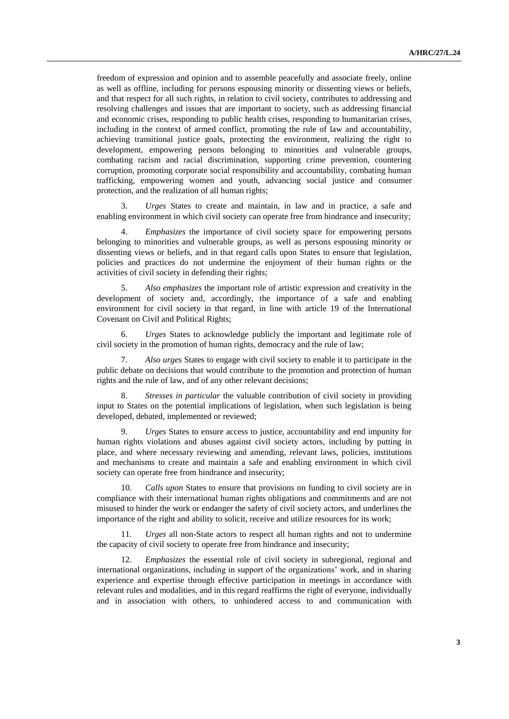freedom of expression and opinion and to assemble peacefully and associate freely, online as well as offline, including for persons espousing minority or dissenting views or beliefs, and that respect for all such rights, in relation to civil society, contributes to addressing and resolving challenges and issues that are important to society, such as addressing financial and economic crises, responding to public health crises, responding to humanitarian crises, including in the context of armed conflict, promoting the rule of law and accountability, achieving transitional justice goals, protecting the environment, realizing the right to development, empowering persons belonging to minorities and vulnerable groups, combating racism and racial discrimination, supporting crime prevention, countering corruption, promoting corporate social responsibility and accountability, combating human trafficking, empowering women and youth, advancing social justice and consumer protection, and the realization of all human rights;

3. *Urges* States to create and maintain, in law and in practice, a safe and enabling environment in which civil society can operate free from hindrance and insecurity;

4. *Emphasizes* the importance of civil society space for empowering persons belonging to minorities and vulnerable groups, as well as persons espousing minority or dissenting views or beliefs, and in that regard calls upon States to ensure that legislation, policies and practices do not undermine the enjoyment of their human rights or the activities of civil society in defending their rights;

5. *Also emphasizes* the important role of artistic expression and creativity in the development of society and, accordingly, the importance of a safe and enabling environment for civil society in that regard, in line with article 19 of the International Covenant on Civil and Political Rights;

6. *Urges* States to acknowledge publicly the important and legitimate role of civil society in the promotion of human rights, democracy and the rule of law;

7. *Also urges* States to engage with civil society to enable it to participate in the public debate on decisions that would contribute to the promotion and protection of human rights and the rule of law, and of any other relevant decisions;

8. *Stresses in particular* the valuable contribution of civil society in providing input to States on the potential implications of legislation, when such legislation is being developed, debated, implemented or reviewed;

9. *Urges* States to ensure access to justice, accountability and end impunity for human rights violations and abuses against civil society actors, including by putting in place, and where necessary reviewing and amending, relevant laws, policies, institutions and mechanisms to create and maintain a safe and enabling environment in which civil society can operate free from hindrance and insecurity;

10. *Calls upon* States to ensure that provisions on funding to civil society are in compliance with their international human rights obligations and commitments and are not misused to hinder the work or endanger the safety of civil society actors, and underlines the importance of the right and ability to solicit, receive and utilize resources for its work;

*Urges* all non-State actors to respect all human rights and not to undermine the capacity of civil society to operate free from hindrance and insecurity;

12. *Emphasizes* the essential role of civil society in subregional, regional and international organizations, including in support of the organizations' work, and in sharing experience and expertise through effective participation in meetings in accordance with relevant rules and modalities, and in this regard reaffirms the right of everyone, individually and in association with others, to unhindered access to and communication with